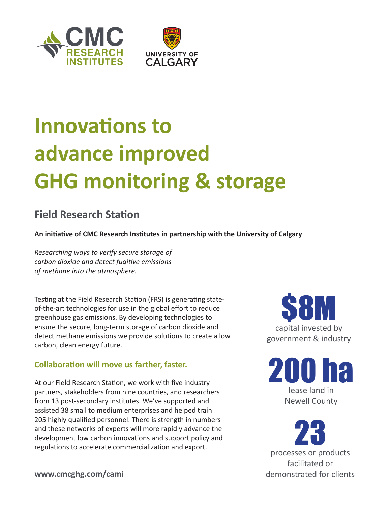

# **Innovations to advance improved GHG monitoring & storage**

### **Field Research Station**

**An initiative of CMC Research Institutes in partnership with the University of Calgary**

*Researching ways to verify secure storage of carbon dioxide and detect fugitive emissions of methane into the atmosphere.*

Testing at the Field Research Station (FRS) is generating stateof-the-art technologies for use in the global effort to reduce greenhouse gas emissions. By developing technologies to ensure the secure, long-term storage of carbon dioxide and detect methane emissions we provide solutions to create a low carbon, clean energy future.

#### **Collaboration will move us farther, faster.**

At our Field Research Station, we work with five industry partners, stakeholders from nine countries, and researchers from 13 post-secondary institutes. We've supported and assisted 38 small to medium enterprises and helped train 205 highly qualified personnel. There is strength in numbers and these networks of experts will more rapidly advance the development low carbon innovations and support policy and regulations to accelerate commercialization and export.



200 lease land in Newell County

23 processes or products facilitated or demonstrated for clients

**www.cmcghg.com/cami**